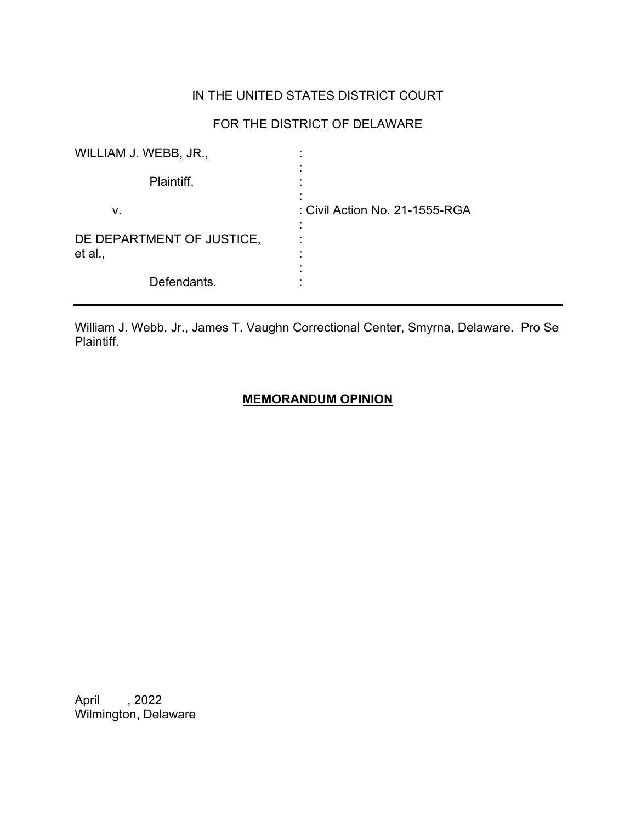# IN THE UNITED STATES DISTRICT COURT

## FOR THE DISTRICT OF DELAWARE

| WILLIAM J. WEBB, JR.,                |                                |
|--------------------------------------|--------------------------------|
| Plaintiff,                           |                                |
| v.                                   | : Civil Action No. 21-1555-RGA |
| DE DEPARTMENT OF JUSTICE,<br>et al., |                                |
| Defendants.                          |                                |

William J. Webb, Jr., James T. Vaughn Correctional Center, Smyrna, Delaware. Pro Se Plaintiff.

### **MEMORANDUM OPINION**

April , 2022 Wilmington, Delaware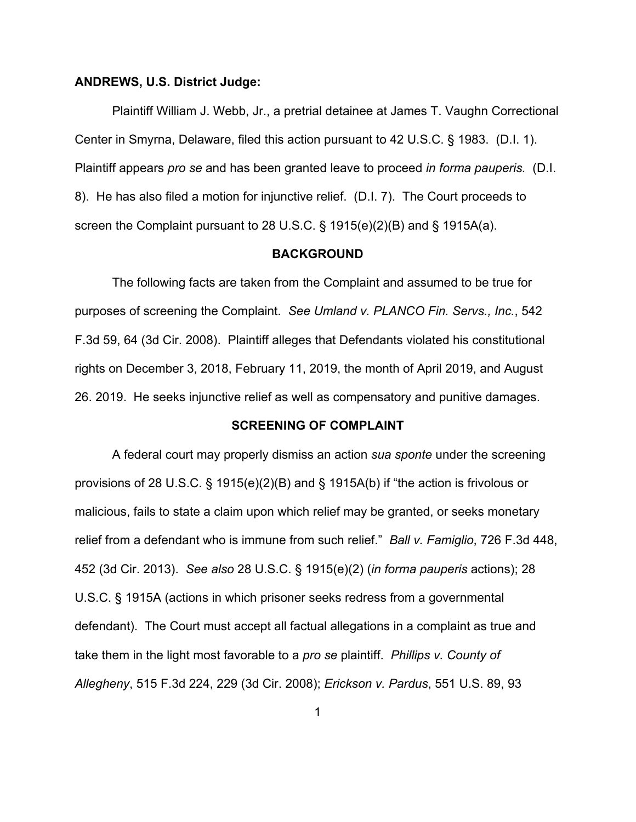#### **ANDREWS, U.S. District Judge:**

Plaintiff William J. Webb, Jr., a pretrial detainee at James T. Vaughn Correctional Center in Smyrna, Delaware, filed this action pursuant to 42 U.S.C. § 1983. (D.I. 1). Plaintiff appears *pro se* and has been granted leave to proceed *in forma pauperis.* (D.I. 8). He has also filed a motion for injunctive relief. (D.I. 7). The Court proceeds to screen the Complaint pursuant to 28 U.S.C. § 1915(e)(2)(B) and § 1915A(a).

#### **BACKGROUND**

The following facts are taken from the Complaint and assumed to be true for purposes of screening the Complaint. *See Umland v. PLANCO Fin. Servs., Inc.*, 542 F.3d 59, 64 (3d Cir. 2008). Plaintiff alleges that Defendants violated his constitutional rights on December 3, 2018, February 11, 2019, the month of April 2019, and August 26. 2019. He seeks injunctive relief as well as compensatory and punitive damages.

#### **SCREENING OF COMPLAINT**

A federal court may properly dismiss an action *sua sponte* under the screening provisions of 28 U.S.C. § 1915(e)(2)(B) and § 1915A(b) if "the action is frivolous or malicious, fails to state a claim upon which relief may be granted, or seeks monetary relief from a defendant who is immune from such relief." *Ball v. Famiglio*, 726 F.3d 448, 452 (3d Cir. 2013). *See also* 28 U.S.C. § 1915(e)(2) (*in forma pauperis* actions); 28 U.S.C. § 1915A (actions in which prisoner seeks redress from a governmental defendant). The Court must accept all factual allegations in a complaint as true and take them in the light most favorable to a *pro se* plaintiff. *Phillips v. County of Allegheny*, 515 F.3d 224, 229 (3d Cir. 2008); *Erickson v. Pardus*, 551 U.S. 89, 93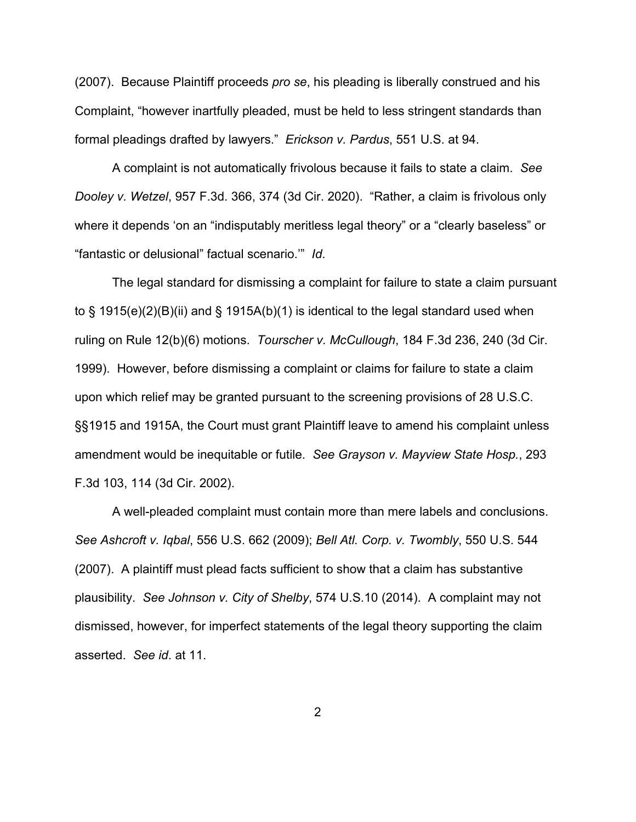(2007). Because Plaintiff proceeds *pro se*, his pleading is liberally construed and his Complaint, "however inartfully pleaded, must be held to less stringent standards than formal pleadings drafted by lawyers." *Erickson v. Pardus*, 551 U.S. at 94.

A complaint is not automatically frivolous because it fails to state a claim. *See Dooley v. Wetzel*, 957 F.3d. 366, 374 (3d Cir. 2020). "Rather, a claim is frivolous only where it depends 'on an "indisputably meritless legal theory" or a "clearly baseless" or "fantastic or delusional" factual scenario.'" *Id*.

The legal standard for dismissing a complaint for failure to state a claim pursuant to § 1915(e)(2)(B)(ii) and § 1915A(b)(1) is identical to the legal standard used when ruling on Rule 12(b)(6) motions. *Tourscher v. McCullough*, 184 F.3d 236, 240 (3d Cir. 1999). However, before dismissing a complaint or claims for failure to state a claim upon which relief may be granted pursuant to the screening provisions of 28 U.S.C. §§1915 and 1915A, the Court must grant Plaintiff leave to amend his complaint unless amendment would be inequitable or futile. *See Grayson v. Mayview State Hosp.*, 293 F.3d 103, 114 (3d Cir. 2002).

A well-pleaded complaint must contain more than mere labels and conclusions. *See Ashcroft v. Iqbal*, 556 U.S. 662 (2009); *Bell Atl. Corp. v. Twombly*, 550 U.S. 544 (2007). A plaintiff must plead facts sufficient to show that a claim has substantive plausibility. *See Johnson v. City of Shelby*, 574 U.S.10 (2014). A complaint may not dismissed, however, for imperfect statements of the legal theory supporting the claim asserted. *See id*. at 11.

2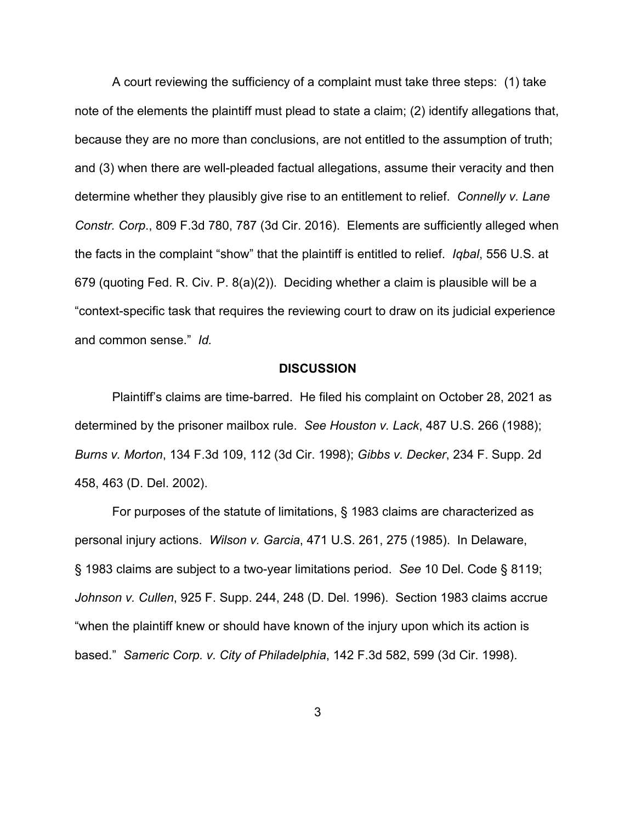A court reviewing the sufficiency of a complaint must take three steps: (1) take note of the elements the plaintiff must plead to state a claim; (2) identify allegations that, because they are no more than conclusions, are not entitled to the assumption of truth; and (3) when there are well-pleaded factual allegations, assume their veracity and then determine whether they plausibly give rise to an entitlement to relief. *Connelly v. Lane Constr. Corp*., 809 F.3d 780, 787 (3d Cir. 2016). Elements are sufficiently alleged when the facts in the complaint "show" that the plaintiff is entitled to relief. *Iqbal*, 556 U.S. at 679 (quoting Fed. R. Civ. P. 8(a)(2)). Deciding whether a claim is plausible will be a "context-specific task that requires the reviewing court to draw on its judicial experience and common sense." *Id.*

#### **DISCUSSION**

Plaintiff's claims are time-barred. He filed his complaint on October 28, 2021 as determined by the prisoner mailbox rule. *See Houston v. Lack*, 487 U.S. 266 (1988); *Burns v. Morton*, 134 F.3d 109, 112 (3d Cir. 1998); *Gibbs v. Decker*, 234 F. Supp. 2d 458, 463 (D. Del. 2002).

For purposes of the statute of limitations, § 1983 claims are characterized as personal injury actions. *Wilson v. Garcia*, 471 U.S. 261, 275 (1985). In Delaware, § 1983 claims are subject to a two-year limitations period. *See* 10 Del. Code § 8119; *Johnson v. Cullen*, 925 F. Supp. 244, 248 (D. Del. 1996). Section 1983 claims accrue "when the plaintiff knew or should have known of the injury upon which its action is based." *Sameric Corp. v. City of Philadelphia*, 142 F.3d 582, 599 (3d Cir. 1998).

3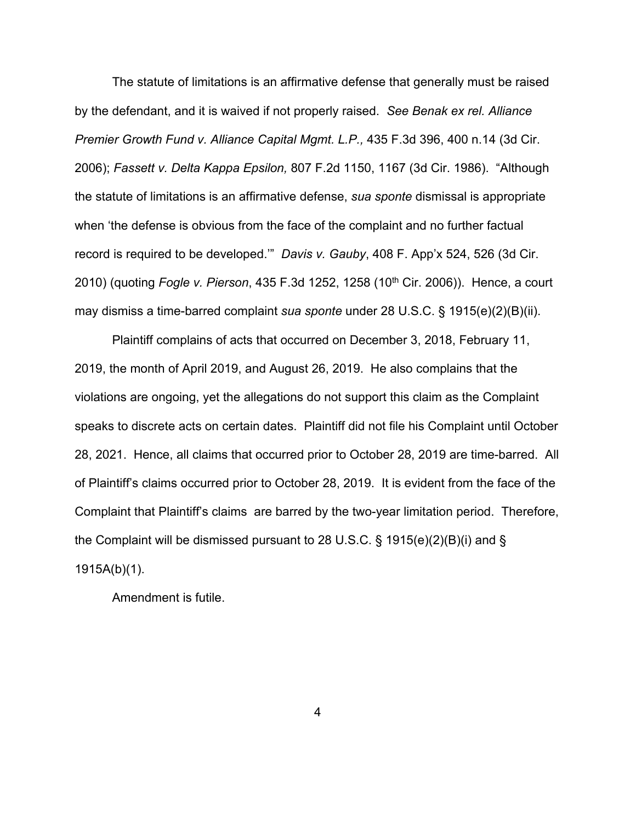The statute of limitations is an affirmative defense that generally must be raised by the defendant, and it is waived if not properly raised. *See Benak ex rel. Alliance Premier Growth Fund v. Alliance Capital Mgmt. L.P.,* 435 F.3d 396, 400 n.14 (3d Cir. 2006); *Fassett v. Delta Kappa Epsilon,* 807 F.2d 1150, 1167 (3d Cir. 1986). "Although the statute of limitations is an affirmative defense, *sua sponte* dismissal is appropriate when 'the defense is obvious from the face of the complaint and no further factual record is required to be developed.'" *Davis v. Gauby*, 408 F. App'x 524, 526 (3d Cir. 2010) (quoting *Fogle v. Pierson*, 435 F.3d 1252, 1258 (10<sup>th</sup> Cir. 2006)). Hence, a court may dismiss a time-barred complaint *sua sponte* under 28 U.S.C. § 1915(e)(2)(B)(ii).

Plaintiff complains of acts that occurred on December 3, 2018, February 11, 2019, the month of April 2019, and August 26, 2019. He also complains that the violations are ongoing, yet the allegations do not support this claim as the Complaint speaks to discrete acts on certain dates. Plaintiff did not file his Complaint until October 28, 2021. Hence, all claims that occurred prior to October 28, 2019 are time-barred. All of Plaintiff's claims occurred prior to October 28, 2019. It is evident from the face of the Complaint that Plaintiff's claims are barred by the two-year limitation period. Therefore, the Complaint will be dismissed pursuant to 28 U.S.C. § 1915(e)(2)(B)(i) and § 1915A(b)(1).

Amendment is futile.

4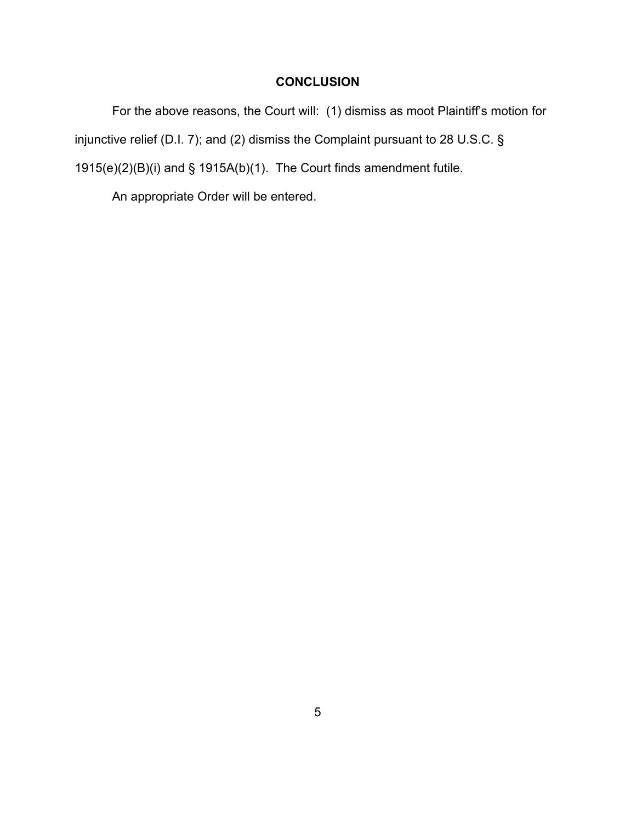## **CONCLUSION**

For the above reasons, the Court will: (1) dismiss as moot Plaintiff's motion for injunctive relief (D.I. 7); and (2) dismiss the Complaint pursuant to 28 U.S.C. § 1915(e)(2)(B)(i) and § 1915A(b)(1). The Court finds amendment futile.

An appropriate Order will be entered.